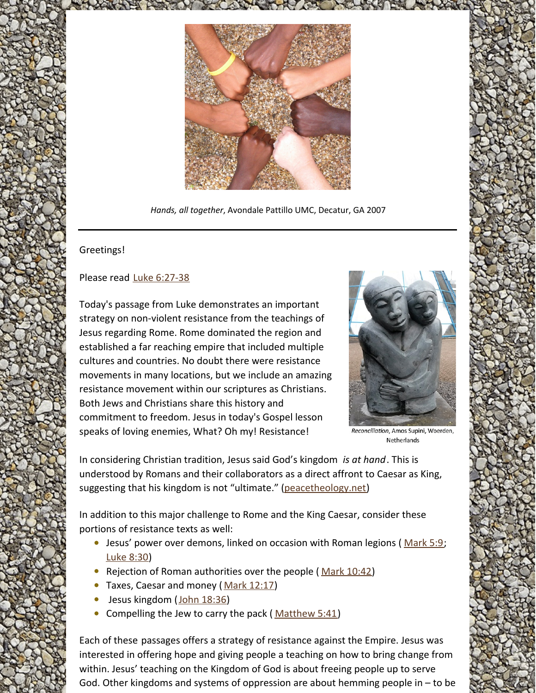

*Hands, all together*, Avondale Pattillo UMC, Decatur, GA 2007

## Greetings!

## Please read Luke [6:27-38](https://www.biblegateway.com/passage/?search=Luke+6%3A27-38&version=NRSV)

Today's passage from Luke demonstrates an important strategy on non-violent resistance from the teachings of Jesus regarding Rome. Rome dominated the region and established a far reaching empire that included multiple cultures and countries. No doubt there were resistance movements in many locations, but we include an amazing resistance movement within our scriptures as Christians. Both Jews and Christians share this history and commitment to freedom. Jesus in today's Gospel lesson speaks of loving enemies, What? Oh my! Resistance!



Reconciliation, Amos Supini, Woerden, Netherlands

In considering Christian tradition, Jesus said God's kingdom *is at hand*. This is understood by Romans and their collaborators as a direct affront to Caesar as King, suggesting that his kingdom is not "ultimate." [\(peacetheology.net](https://peacetheology.net/pacifism/7-jesus-confrontation-with-empire/))

In addition to this major challenge to Rome and the King Caesar, consider these portions of resistance texts as well:

- **•** Jesus' power over demons, linked on occasion with Roman legions ([Mark](https://www.biblegateway.com/passage/?search=Mark+5%3A9&version=NRSV) 5:9; [Luke](https://www.biblegateway.com/passage/?search=Luke+8%3A30&version=NRSV) 8:30)
- Rejection of Roman authorities over the people (Mark [10:42](https://www.biblegateway.com/passage/?search=Mark+10%3A42&version=NRSV))
- Taxes, Caesar and money (Mark [12:17](https://www.biblegateway.com/passage/?search=Mark+12%3A17&version=NRSV))
- Jesus kingdom (John [18:36](https://www.biblegateway.com/passage/?search=John+18%3A36&version=NRSV))  $\bullet$
- Compelling the Jew to carry the pack ([Matthew](https://www.biblegateway.com/passage/?search=Matthew+5%3A41&version=NRSV) 5:41)

Each of these passages offers a strategy of resistance against the Empire. Jesus was interested in offering hope and giving people a teaching on how to bring change from within. Jesus' teaching on the Kingdom of God is about freeing people up to serve God. Other kingdoms and systems of oppression are about hemming people in – to be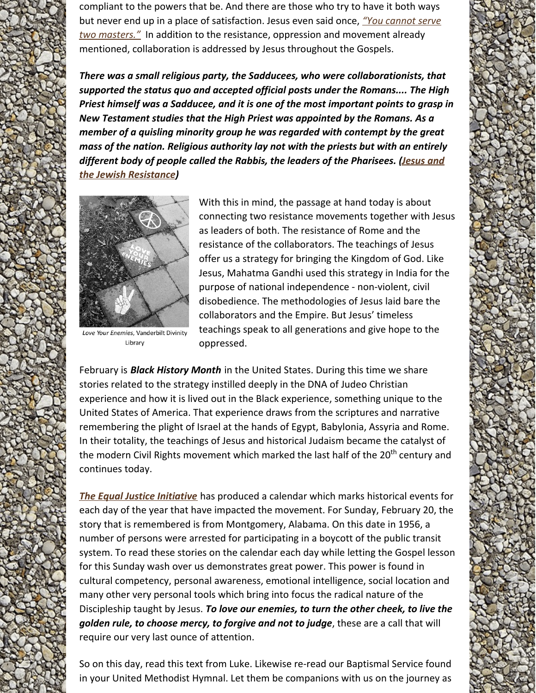compliant to the powers that be. And there are those who try to have it both ways but never end up in a place of [satisfaction.](https://www.biblegateway.com/passage/?search=Mt+6%3A24&version=NRSV) Jesus even said once, *"You cannot serve two masters."* In addition to the resistance, oppression and movement already mentioned, collaboration is addressed by Jesus throughout the Gospels.

*There was a small religious party, the Sadducees, who were collaborationists, that supported the status quo and accepted official posts under the Romans.... The High Priest himself was a Sadducee, and it is one of the most important points to grasp in New Testament studies that the High Priest was appointed by the Romans. As a member of a quisling minority group he was regarded with contempt by the great mass of the nation. Religious authority lay not with the priests but with an entirely different body of people called the Rabbis, the leaders of the [Pharisees.](https://msuweb.montclair.edu/~furrg/gned/maccoby.pdf) (Jesus and the Jewish Resistance)*



Love Your Enemies, Vanderbilt Divinity Library

With this in mind, the passage at hand today is about connecting two resistance movements together with Jesus as leaders of both. The resistance of Rome and the resistance of the collaborators. The teachings of Jesus offer us a strategy for bringing the Kingdom of God. Like Jesus, Mahatma Gandhi used this strategy in India for the purpose of national independence - non-violent, civil disobedience. The methodologies of Jesus laid bare the collaborators and the Empire. But Jesus' timeless teachings speak to all generations and give hope to the oppressed.

February is *Black History Month* in the United States. During this time we share stories related to the strategy instilled deeply in the DNA of Judeo Christian experience and how it is lived out in the Black experience, something unique to the United States of America. That experience draws from the scriptures and narrative remembering the plight of Israel at the hands of Egypt, Babylonia, Assyria and Rome. In their totality, the teachings of Jesus and historical Judaism became the catalyst of the modern Civil Rights movement which marked the last half of the 20<sup>th</sup> century and continues today.

*The Equal Justice [Initiative](https://eji.org/)* has produced a calendar which marks historical events for each day of the year that have impacted the movement. For Sunday, February 20, the story that is remembered is from Montgomery, Alabama. On this date in 1956, a number of persons were arrested for participating in a boycott of the public transit system. To read these stories on the calendar each day while letting the Gospel lesson for this Sunday wash over us demonstrates great power. This power is found in cultural competency, personal awareness, emotional intelligence, social location and many other very personal tools which bring into focus the radical nature of the Discipleship taught by Jesus. *To love our enemies, to turn the other cheek, to live the golden rule, to choose mercy, to forgive and not to judge*, these are a call that will require our very last ounce of attention.

So on this day, read this text from Luke. Likewise re-read our Baptismal Service found in your United Methodist Hymnal. Let them be companions with us on the journey as